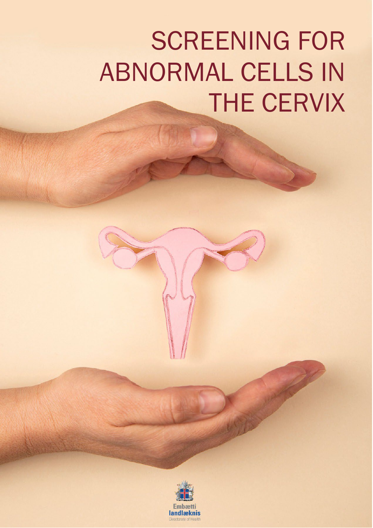# SCREENING FOR ABNORMAL CELLS IN THE CERVIX

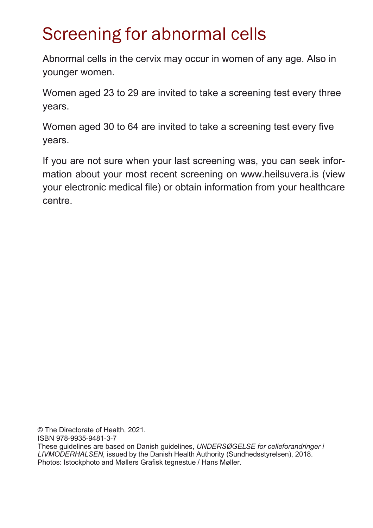# Screening for abnormal cells

Abnormal cells in the cervix may occur in women of any age. Also in younger women.

Women aged 23 to 29 are invited to take a screening test every three years.

Women aged 30 to 64 are invited to take a screening test every five years.

If you are not sure when your last screening was, you can seek information about your most recent screening on [www.heilsuvera.is \(](http://www.heilsuvera.is/)view your electronic medical file) or obtain information from your healthcare centre.

© The Directorate of Health, 2021. ISBN 978-9935-9481-3-7 These guidelines are based on Danish guidelines, *UNDERSØGELSE for celleforandringer i LIVMODERHALSEN,* issued by the Danish Health Authority (Sundhedsstyrelsen), 2018. Photos: Istockphoto and Møllers Grafisk tegnestue / Hans Møller.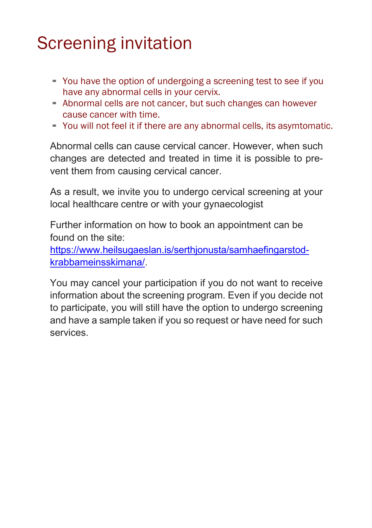# Screening invitation

- You have the option of undergoing a screening test to see if you have any abnormal cells in your cervix.
- Abnormal cells are not cancer, but such changes can however cause cancer with time.
- You will not feel it if there are any abnormal cells, its asymtomatic.

Abnormal cells can cause cervical cancer. However, when such changes are detected and treated in time it is possible to prevent them from causing cervical cancer.

As a result, we invite you to undergo cervical screening at your local healthcare centre or with your gynaecologist

Further information on how to book an appointment can be found on the site:

[https://www.heilsugaeslan.is/serthjonusta/samhaefingarstod](https://www.heilsugaeslan.is/serthjonusta/samhaefingarstod-krabbameinsskimana/)[krabbameinsskimana/.](https://www.heilsugaeslan.is/serthjonusta/samhaefingarstod-krabbameinsskimana/)

You may cancel your participation if you do not want to receive information about the screening program. Even if you decide not to participate, you will still have the option to undergo screening and have a sample taken if you so request or have need for such services.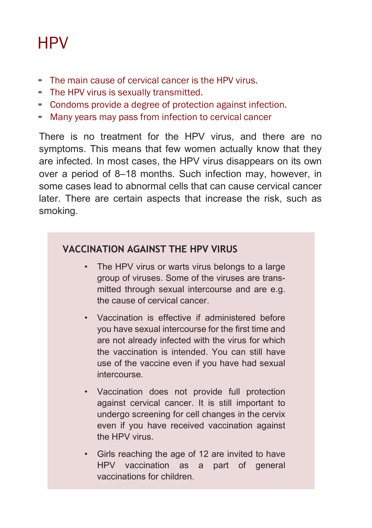### **HPV**

- The main cause of cervical cancer is the HPV virus.
- **E** The HPV virus is sexually transmitted.
- Condoms provide <sup>a</sup> degree of protection against infection.
- **EXECT** Many years may pass from infection to cervical cancer

There is no treatment for the HPV virus, and there are no symptoms. This means that few women actually know that they are infected. In most cases, the HPV virus disappears on its own over a period of 8–18 months. Such infection may, however, in some cases lead to abnormal cells that can cause cervical cancer later. There are certain aspects that increase the risk, such as smoking.

#### **VACCINATION AGAINST THE HPV VIRUS**

- The HPV virus or warts virus belongs to a large group of viruses. Some of the viruses are transmitted through sexual intercourse and are e.g. the cause of cervical cancer.
- Vaccination is effective if administered before you have sexual intercourse for the first time and are not already infected with the virus for which the vaccination is intended. You can still have use of the vaccine even if you have had sexual intercourse.
- Vaccination does not provide full protection against cervical cancer. It is still important to undergo screening for cell changes in the cervix even if you have received vaccination against the HPV virus.
- Girls reaching the age of 12 are invited to have HPV vaccination as a part of general vaccinations for children.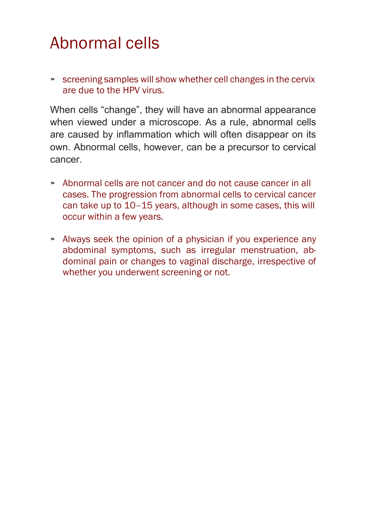### Abnormal cells

**EXECTE:** screening samples will show whether cell changes in the cervix are due to the HPV virus.

When cells "change", they will have an abnormal appearance when viewed under a microscope. As a rule, abnormal cells are caused by inflammation which will often disappear on its own. Abnormal cells, however, can be a precursor to cervical cancer.

- **E** Abnormal cells are not cancer and do not cause cancer in all cases. The progression from abnormal cells to cervical cancer can take up to 10–15 years, although in some cases, this will occur within a few years.
- **EXED Always seek the opinion of a physician if you experience any** abdominal symptoms, such as irregular menstruation, abdominal pain or changes to vaginal discharge, irrespective of whether you underwent screening or not.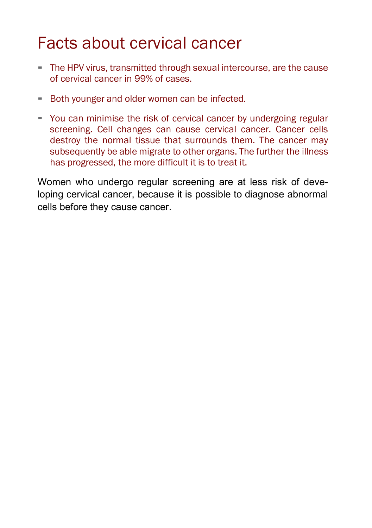### Facts about cervical cancer

- **EXPLEM** FIRE The HPV virus, transmitted through sexual intercourse, are the cause of cervical cancer in 99% of cases.
- **EXECT** Both younger and older women can be infected.
- You can minimise the risk of cervical cancer by undergoing regular screening. Cell changes can cause cervical cancer. Cancer cells destroy the normal tissue that surrounds them. The cancer may subsequently be able migrate to other organs. The further the illness has progressed, the more difficult it is to treat it.

Women who undergo regular screening are at less risk of developing cervical cancer, because it is possible to diagnose abnormal cells before they cause cancer.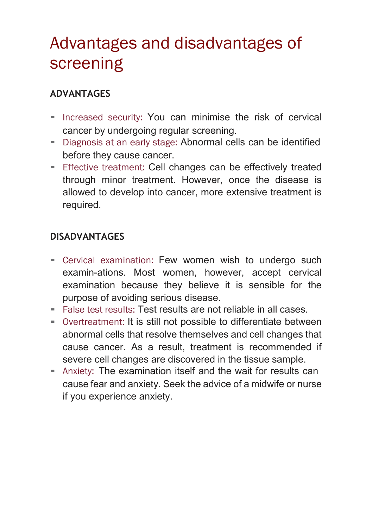# Advantages and disadvantages of screening

#### **ADVANTAGES**

- Increased security: You can minimise the risk of cervical cancer by undergoing regular screening.
- Diagnosis at an early stage: Abnormal cells can be identified before they cause cancer.
- **Effective treatment: Cell changes can be effectively treated** through minor treatment. However, once the disease is allowed to develop into cancer, more extensive treatment is required.

#### **DISADVANTAGES**

- Cervical examination: Few women wish to undergo such examin-ations. Most women, however, accept cervical examination because they believe it is sensible for the purpose of avoiding serious disease.
- False test results: Test results are not reliable in all cases.
- Overtreatment: It is still not possible to differentiate between abnormal cells that resolve themselves and cell changes that cause cancer. As a result, treatment is recommended if severe cell changes are discovered in the tissue sample.
- **E** Anxiety: The examination itself and the wait for results can cause fear and anxiety. Seek the advice of a midwife or nurse if you experience anxiety.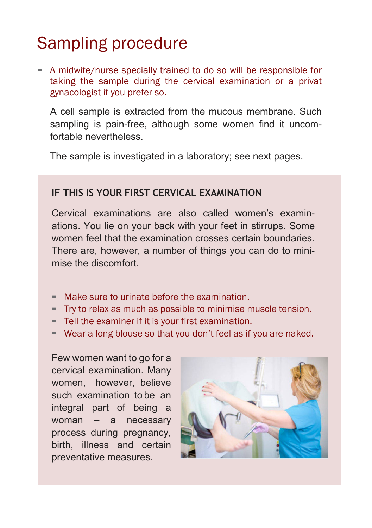# Sampling procedure

▪ A midwife/nurse specially trained to do so will be responsible for taking the sample during the cervical examination or a privat gynacologist if you prefer so.

A cell sample is extracted from the mucous membrane. Such sampling is pain-free, although some women find it uncomfortable nevertheless.

The sample is investigated in a laboratory; see next pages.

#### **IF THIS IS YOUR FIRST CERVICAL EXAMINATION**

Cervical examinations are also called women's examinations. You lie on your back with your feet in stirrups. Some women feel that the examination crosses certain boundaries. There are, however, a number of things you can do to minimise the discomfort.

- Make sure to urinate before the examination.
- Try to relax as much as possible to minimise muscle tension.
- **F** Tell the examiner if it is your first examination.
- **EXECT** Wear a long blouse so that you don't feel as if you are naked.

Few women want to go for a cervical examination. Many women, however, believe such examination to be an integral part of being a woman – a necessary process during pregnancy, birth, illness and certain preventative measures.

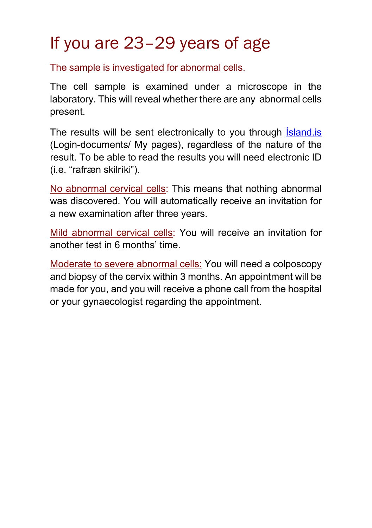# If you are 23–29 years of age

The sample is investigated for abnormal cells.

The cell sample is examined under a microscope in the laboratory. This will reveal whether there are any abnormal cells present.

The results will be sent electronically to you through *Sand.* is (Login-documents/ My pages), regardless of the nature of the result. To be able to read the results you will need electronic ID (i.e. "rafræn skilríki").

No abnormal cervical cells: This means that nothing abnormal was discovered. You will automatically receive an invitation for a new examination after three years.

Mild abnormal cervical cells: You will receive an invitation for another test in 6 months' time.

Moderate to severe abnormal cells: You will need a colposcopy and biopsy of the cervix within 3 months. An appointment will be made for you, and you will receive a phone call from the hospital or your gynaecologist regarding the appointment.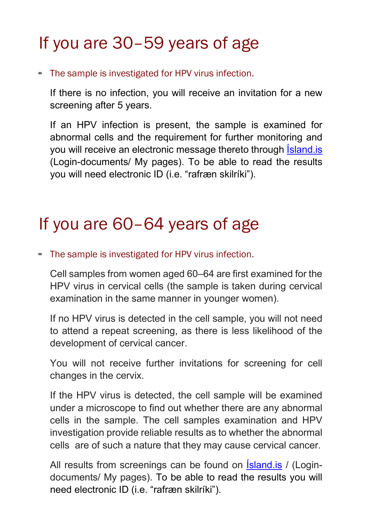# If you are 30–59 years of age

▪ The sample is investigated for HPV virus infection.

If there is no infection, you will receive an invitation for a new screening after 5 years.

If an HPV infection is present, the sample is examined for abnormal cells and the requirement for further monitoring and you will receive an electronic message thereto through [Ísland.is](https://island.is/) (Login-documents/ My pages). To be able to read the results you will need electronic ID (i.e. "rafræn skilríki").

### If you are 60–64 years of age

#### **-** The sample is investigated for HPV virus infection.

Cell samples from women aged 60–64 are first examined for the HPV virus in cervical cells (the sample is taken during cervical examination in the same manner in younger women).

If no HPV virus is detected in the cell sample, you will not need to attend a repeat screening, as there is less likelihood of the development of cervical cancer.

You will not receive further invitations for screening for cell changes in the cervix.

If the HPV virus is detected, the cell sample will be examined under a microscope to find out whether there are any abnormal cells in the sample. The cell samples examination and HPV investigation provide reliable results as to whether the abnormal cells are of such a nature that they may cause cervical cancer.

All results from screenings can be found on **Island.is** / (Logindocuments/ My pages). To be able to read the results you will need electronic ID (i.e. "rafræn skilríki").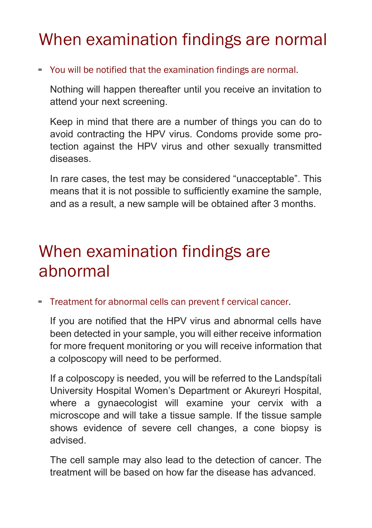### When examination findings are normal

▪ You will be notified that the examination findings are normal.

Nothing will happen thereafter until you receive an invitation to attend your next screening.

Keep in mind that there are a number of things you can do to avoid contracting the HPV virus. Condoms provide some protection against the HPV virus and other sexually transmitted diseases.

In rare cases, the test may be considered "unacceptable". This means that it is not possible to sufficiently examine the sample, and as a result, a new sample will be obtained after 3 months.

### When examination findings are abnormal

▪ Treatment for abnormal cells can prevent f cervical cancer.

If you are notified that the HPV virus and abnormal cells have been detected in your sample, you will either receive information for more frequent monitoring or you will receive information that a colposcopy will need to be performed.

If a colposcopy is needed, you will be referred to the Landspítali University Hospital Women's Department or Akureyri Hospital, where a gynaecologist will examine your cervix with a microscope and will take a tissue sample. If the tissue sample shows evidence of severe cell changes, a cone biopsy is advised.

The cell sample may also lead to the detection of cancer. The treatment will be based on how far the disease has advanced.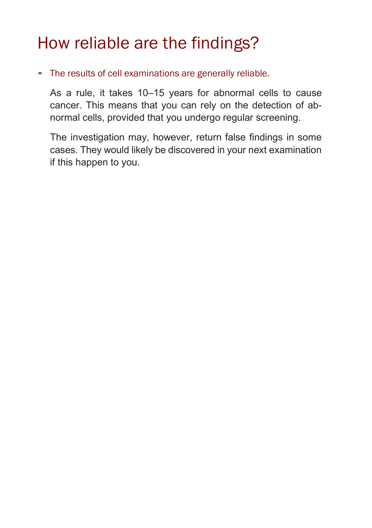### How reliable are the findings?

▪ The results of cell examinations are generally reliable.

As a rule, it takes 10–15 years for abnormal cells to cause cancer. This means that you can rely on the detection of abnormal cells, provided that you undergo regular screening.

The investigation may, however, return false findings in some cases. They would likely be discovered in your next examination if this happen to you.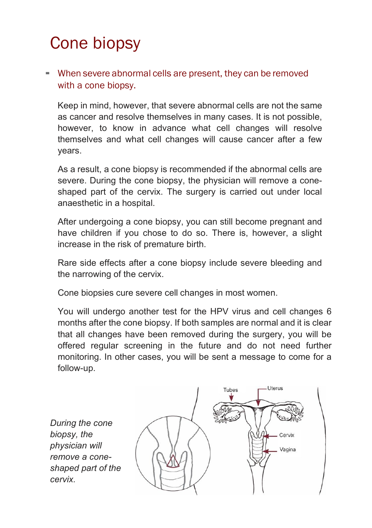# Cone biopsy

#### - When severe abnormal cells are present, they can be removed with a cone biopsy.

Keep in mind, however, that severe abnormal cells are not the same as cancer and resolve themselves in many cases. It is not possible, however, to know in advance what cell changes will resolve themselves and what cell changes will cause cancer after a few years.

As a result, a cone biopsy is recommended if the abnormal cells are severe. During the cone biopsy, the physician will remove a coneshaped part of the cervix. The surgery is carried out under local anaesthetic in a hospital.

After undergoing a cone biopsy, you can still become pregnant and have children if you chose to do so. There is, however, a slight increase in the risk of premature birth.

Rare side effects after a cone biopsy include severe bleeding and the narrowing of the cervix.

Cone biopsies cure severe cell changes in most women.

You will undergo another test for the HPV virus and cell changes 6 months after the cone biopsy. If both samples are normal and it is clear that all changes have been removed during the surgery, you will be offered regular screening in the future and do not need further monitoring. In other cases, you will be sent a message to come for a follow-up.

*During the cone biopsy, the physician will remove a coneshaped part of the cervix.*

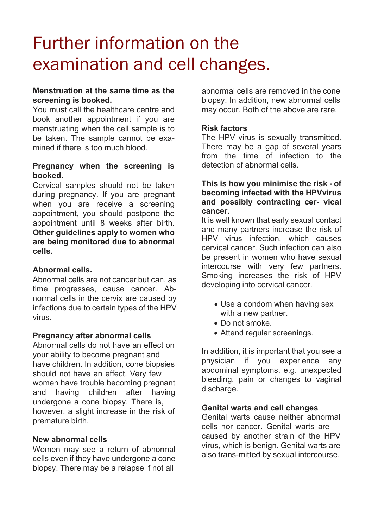# Further information on the examination and cell changes.

#### **Menstruation at the same time as the screening is booked.**

You must call the healthcare centre and book another appointment if you are menstruating when the cell sample is to be taken. The sample cannot be examined if there is too much blood.

#### **Pregnancy when the screening is booked**.

Cervical samples should not be taken during pregnancy. If you are pregnant when you are receive a screening appointment, you should postpone the appointment until 8 weeks after birth. **Other guidelines apply to women who are being monitored due to abnormal cells.**

#### **Abnormal cells.**

Abnormal cells are not cancer but can, as time progresses, cause cancer. Abnormal cells in the cervix are caused by infections due to certain types of the HPV virus.

#### **Pregnancy after abnormal cells**

Abnormal cells do not have an effect on your ability to become pregnant and have children. In addition, cone biopsies should not have an effect. Very few women have trouble becoming pregnant and having children after having undergone a cone biopsy. There is, however, a slight increase in the risk of premature birth.

#### **New abnormal cells**

Women may see a return of abnormal cells even if they have undergone a cone biopsy. There may be a relapse if not all

abnormal cells are removed in the cone biopsy. In addition, new abnormal cells may occur. Both of the above are rare.

#### **Risk factors**

The HPV virus is sexually transmitted. There may be a gap of several years from the time of infection to the detection of abnormal cells.

#### **This is how you minimise the risk - of becoming infected with the HPVvirus and possibly contracting cer- vical cancer.**

It is well known that early sexual contact and many partners increase the risk of HPV virus infection, which causes cervical cancer. Such infection can also be present in women who have sexual intercourse with very few partners. Smoking increases the risk of HPV developing into cervical cancer.

- Use a condom when having sex with a new partner.
- Do not smoke.
- Attend regular screenings.

In addition, it is important that you see a physician if you experience any abdominal symptoms, e.g. unexpected bleeding, pain or changes to vaginal discharge.

#### **Genital warts and cell changes**

Genital warts cause neither abnormal cells nor cancer. Genital warts are caused by another strain of the HPV virus, which is benign. Genital warts are also trans-mitted by sexual intercourse.